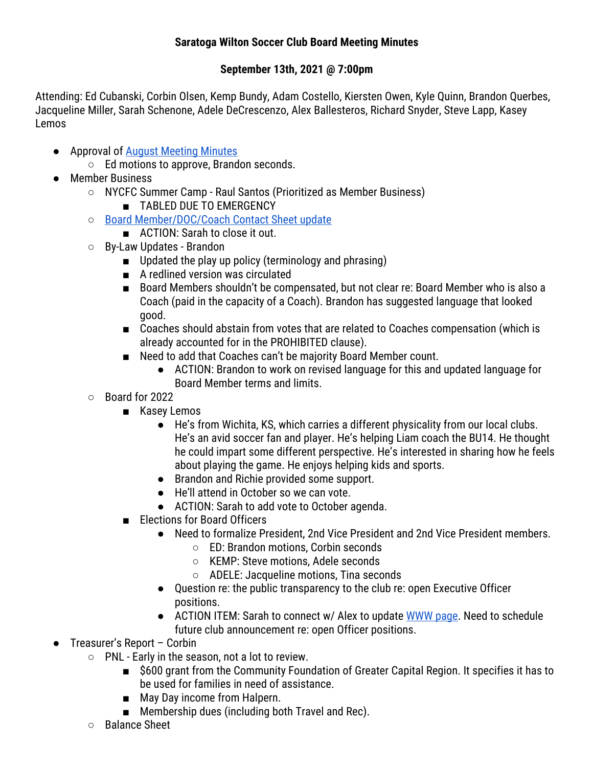## **Saratoga Wilton Soccer Club Board Meeting Minutes**

## **September 13th, 2021 @ 7:00pm**

Attending: Ed Cubanski, Corbin Olsen, Kemp Bundy, Adam Costello, Kiersten Owen, Kyle Quinn, Brandon Querbes, Jacqueline Miller, Sarah Schenone, Adele DeCrescenzo, Alex Ballesteros, Richard Snyder, Steve Lapp, Kasey Lemos

- Approval of August Meeting Minutes
	- Ed motions to approve, Brandon seconds.
- Member Business
	- NYCFC Summer Camp Raul Santos (Prioritized as Member Business)
		- TABLED DUE TO EMERGENCY
	- Board Member/DOC/Coach Contact Sheet update
		- ACTION: Sarah to close it out.
	- By-Law Updates Brandon
		- Updated the play up policy (terminology and phrasing)
		- A redlined version was circulated
		- Board Members shouldn't be compensated, but not clear re: Board Member who is also a Coach (paid in the capacity of a Coach). Brandon has suggested language that looked good.
		- Coaches should abstain from votes that are related to Coaches compensation (which is already accounted for in the PROHIBITED clause).
		- Need to add that Coaches can't be majority Board Member count.
			- ACTION: Brandon to work on revised language for this and updated language for Board Member terms and limits.
	- Board for 2022
		- Kasey Lemos
			- He's from Wichita, KS, which carries a different physicality from our local clubs. He's an avid soccer fan and player. He's helping Liam coach the BU14. He thought he could impart some different perspective. He's interested in sharing how he feels about playing the game. He enjoys helping kids and sports.
			- Brandon and Richie provided some support.
			- He'll attend in October so we can vote.
			- ACTION: Sarah to add vote to October agenda.
		- Elections for Board Officers
			- Need to formalize President, 2nd Vice President and 2nd Vice President members.
				- ED: Brandon motions, Corbin seconds
				- KEMP: Steve motions, Adele seconds
				- ADELE: Jacqueline motions, Tina seconds
			- Question re: the public transparency to the club re: open Executive Officer positions.
			- ACTION ITEM: Sarah to connect w/ Alex to update WWW page. Need to schedule future club announcement re: open Officer positions.
- Treasurer's Report Corbin
	- PNL Early in the season, not a lot to review.
		- \$600 grant from the Community Foundation of Greater Capital Region. It specifies it has to be used for families in need of assistance.
		- May Day income from Halpern.
		- Membership dues (including both Travel and Rec).
	- Balance Sheet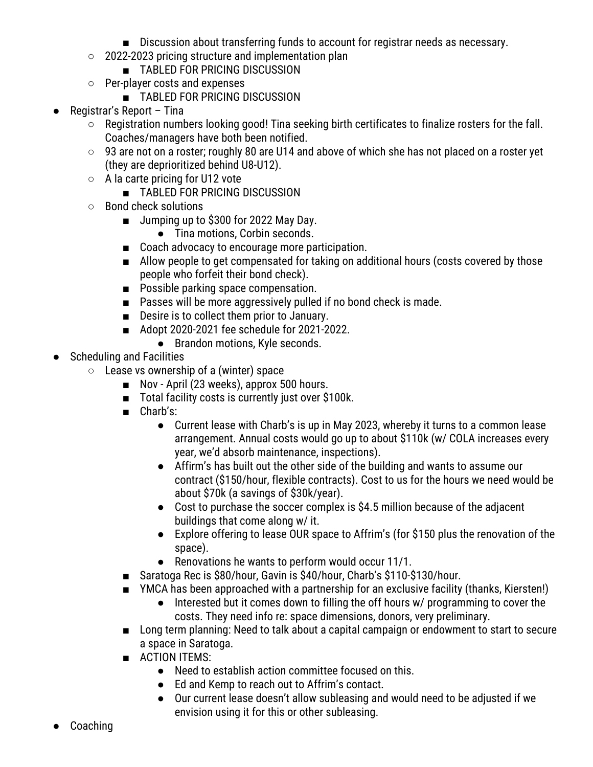- Discussion about transferring funds to account for registrar needs as necessary.
- 2022-2023 pricing structure and implementation plan
	- TABLED FOR PRICING DISCUSSION
- Per-player costs and expenses
	- TABLED FOR PRICING DISCUSSION
- Registrar's Report Tina
	- Registration numbers looking good! Tina seeking birth certificates to finalize rosters for the fall. Coaches/managers have both been notified.
	- 93 are not on a roster; roughly 80 are U14 and above of which she has not placed on a roster yet (they are deprioritized behind U8-U12).
	- A la carte pricing for U12 vote
		- TABLED FOR PRICING DISCUSSION
	- Bond check solutions
		- Jumping up to \$300 for 2022 May Day.
			- Tina motions, Corbin seconds.
		- Coach advocacy to encourage more participation.
		- Allow people to get compensated for taking on additional hours (costs covered by those people who forfeit their bond check).
		- Possible parking space compensation.
		- Passes will be more aggressively pulled if no bond check is made.
		- Desire is to collect them prior to January.
		- Adopt 2020-2021 fee schedule for 2021-2022.
			- Brandon motions, Kyle seconds.
- Scheduling and Facilities
	- $\circ$  Lease vs ownership of a (winter) space
		- Nov April (23 weeks), approx 500 hours.
		- Total facility costs is currently just over \$100k.
		- Charb's:
			- Current lease with Charb's is up in May 2023, whereby it turns to a common lease arrangement. Annual costs would go up to about \$110k (w/ COLA increases every year, we'd absorb maintenance, inspections).
			- Affirm's has built out the other side of the building and wants to assume our contract (\$150/hour, flexible contracts). Cost to us for the hours we need would be about \$70k (a savings of \$30k/year).
			- Cost to purchase the soccer complex is \$4.5 million because of the adjacent buildings that come along w/ it.
			- Explore offering to lease OUR space to Affrim's (for \$150 plus the renovation of the space).
			- Renovations he wants to perform would occur 11/1.
		- Saratoga Rec is \$80/hour, Gavin is \$40/hour, Charb's \$110-\$130/hour.
		- YMCA has been approached with a partnership for an exclusive facility (thanks, Kiersten!)
			- Interested but it comes down to filling the off hours w/ programming to cover the costs. They need info re: space dimensions, donors, very preliminary.
		- Long term planning: Need to talk about a capital campaign or endowment to start to secure a space in Saratoga.
		- ACTION ITEMS:
			- Need to establish action committee focused on this.
			- Ed and Kemp to reach out to Affrim's contact.
			- Our current lease doesn't allow subleasing and would need to be adjusted if we envision using it for this or other subleasing.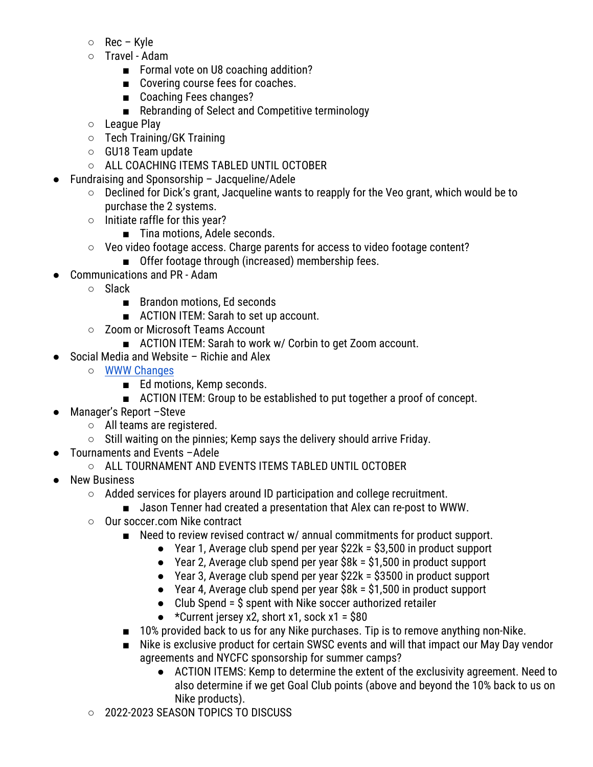- Rec Kyle
- Travel Adam
	- Formal vote on U8 coaching addition?
	- Covering course fees for coaches.
	- Coaching Fees changes?
	- Rebranding of Select and Competitive terminology
- League Play
- Tech Training/GK Training
- GU18 Team update
- ALL COACHING ITEMS TABLED UNTIL OCTOBER
- Fundraising and Sponsorship Jacqueline/Adele
	- Declined for Dick's grant, Jacqueline wants to reapply for the Veo grant, which would be to purchase the 2 systems.
	- Initiate raffle for this year?
		- Tina motions, Adele seconds.
	- Veo video footage access. Charge parents for access to video footage content?
		- Offer footage through (increased) membership fees.
- Communications and PR Adam
	- Slack
		- Brandon motions, Ed seconds
		- ACTION ITEM: Sarah to set up account.
	- Zoom or Microsoft Teams Account
		- ACTION ITEM: Sarah to work w/ Corbin to get Zoom account.
- Social Media and Website Richie and Alex
	- WWW Changes
		- Ed motions, Kemp seconds.
		- ACTION ITEM: Group to be established to put together a proof of concept.
- Manager's Report -Steve
	- All teams are registered.
	- Still waiting on the pinnies; Kemp says the delivery should arrive Friday.
- Tournaments and Events –Adele
	- ALL TOURNAMENT AND EVENTS ITEMS TABLED UNTIL OCTOBER
- New Business
	- Added services for players around ID participation and college recruitment.
		- Jason Tenner had created a presentation that Alex can re-post to WWW.
	- Our soccer.com Nike contract
		- Need to review revised contract w/ annual commitments for product support.
			- $\bullet$  Year 1, Average club spend per year \$22k = \$3,500 in product support
			- Year 2, Average club spend per year \$8k = \$1,500 in product support
			- Year 3, Average club spend per year \$22k = \$3500 in product support
			- Year 4, Average club spend per year \$8k = \$1,500 in product support
			- $\bullet$  Club Spend =  $\$$  spent with Nike soccer authorized retailer
			- $\star$  Current jersey x2, short x1, sock x1 = \$80
		- 10% provided back to us for any Nike purchases. Tip is to remove anything non-Nike.
		- Nike is exclusive product for certain SWSC events and will that impact our May Day vendor agreements and NYCFC sponsorship for summer camps?
			- ACTION ITEMS: Kemp to determine the extent of the exclusivity agreement. Need to also determine if we get Goal Club points (above and beyond the 10% back to us on Nike products).
	- 2022-2023 SEASON TOPICS TO DISCUSS